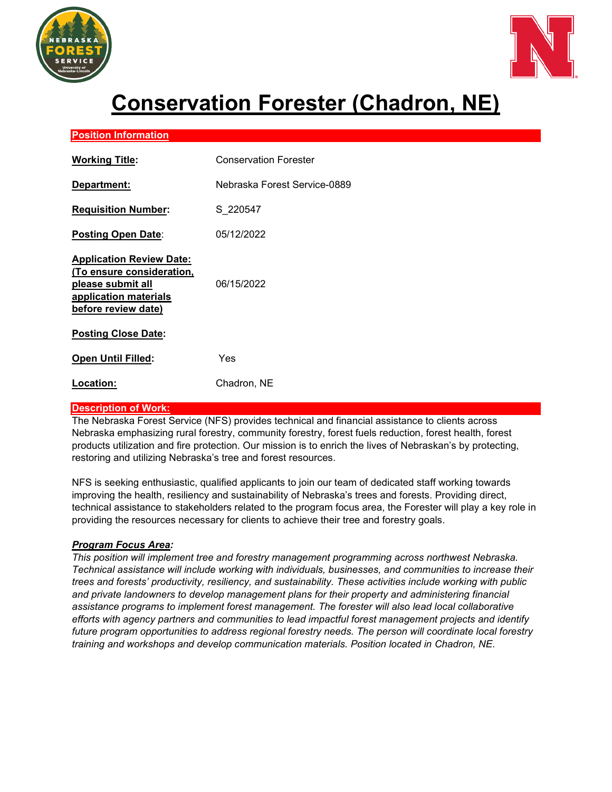



# **Conservation Forester (Chadron, NE)**

## **Position Information**

| <b>Working Title:</b>                                                                                                             | <b>Conservation Forester</b> |
|-----------------------------------------------------------------------------------------------------------------------------------|------------------------------|
| Department:                                                                                                                       | Nebraska Forest Service-0889 |
| <u><b>Requisition Number:</b></u>                                                                                                 | S 220547                     |
| Posting Open Date:                                                                                                                | 05/12/2022                   |
| <b>Application Review Date:</b><br>(To ensure consideration,<br>please submit all<br>application materials<br>before review date) | 06/15/2022                   |
| <b>Posting Close Date:</b>                                                                                                        |                              |
| <b>Open Until Filled:</b>                                                                                                         | Yes                          |
| Location:                                                                                                                         | Chadron, NE                  |

### **Description of Work:**

The Nebraska Forest Service (NFS) provides technical and financial assistance to clients across Nebraska emphasizing rural forestry, community forestry, forest fuels reduction, forest health, forest products utilization and fire protection. Our mission is to enrich the lives of Nebraskan's by protecting, restoring and utilizing Nebraska's tree and forest resources.

NFS is seeking enthusiastic, qualified applicants to join our team of dedicated staff working towards improving the health, resiliency and sustainability of Nebraska's trees and forests. Providing direct, technical assistance to stakeholders related to the program focus area, the Forester will play a key role in providing the resources necessary for clients to achieve their tree and forestry goals.

### *Program Focus Area:*

*This position will implement tree and forestry management programming across northwest Nebraska. Technical assistance will include working with individuals, businesses, and communities to increase their trees and forests' productivity, resiliency, and sustainability. These activities include working with public and private landowners to develop management plans for their property and administering financial assistance programs to implement forest management. The forester will also lead local collaborative efforts with agency partners and communities to lead impactful forest management projects and identify future program opportunities to address regional forestry needs. The person will coordinate local forestry training and workshops and develop communication materials. Position located in Chadron, NE*.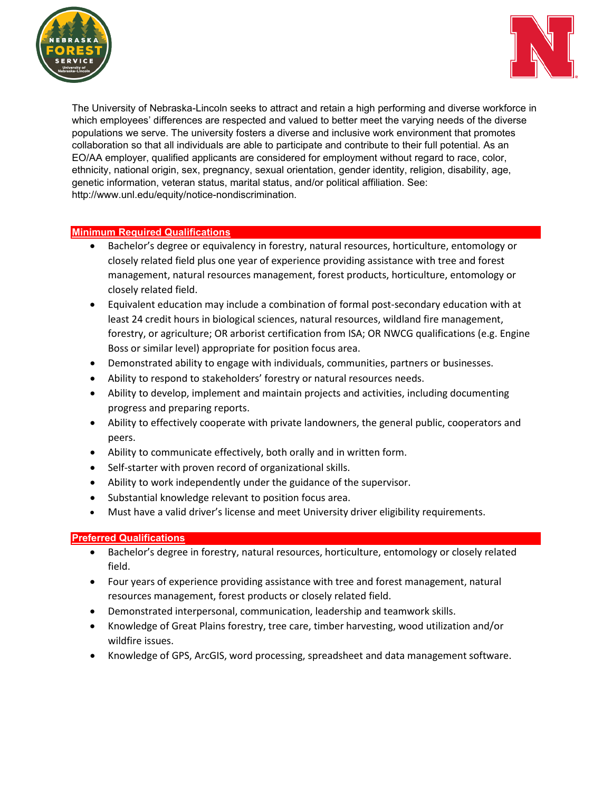



The University of Nebraska-Lincoln seeks to attract and retain a high performing and diverse workforce in which employees' differences are respected and valued to better meet the varying needs of the diverse populations we serve. The university fosters a diverse and inclusive work environment that promotes collaboration so that all individuals are able to participate and contribute to their full potential. As an EO/AA employer, qualified applicants are considered for employment without regard to race, color, ethnicity, national origin, sex, pregnancy, sexual orientation, gender identity, religion, disability, age, genetic information, veteran status, marital status, and/or political affiliation. See: http://www.unl.edu/equity/notice-nondiscrimination.

### **Minimum Required Qualifications**

- Bachelor's degree or equivalency in forestry, natural resources, horticulture, entomology or closely related field plus one year of experience providing assistance with tree and forest management, natural resources management, forest products, horticulture, entomology or closely related field.
- Equivalent education may include a combination of formal post-secondary education with at least 24 credit hours in biological sciences, natural resources, wildland fire management, forestry, or agriculture; OR arborist certification from ISA; OR NWCG qualifications (e.g. Engine Boss or similar level) appropriate for position focus area.
- Demonstrated ability to engage with individuals, communities, partners or businesses.
- Ability to respond to stakeholders' forestry or natural resources needs.
- Ability to develop, implement and maintain projects and activities, including documenting progress and preparing reports.
- Ability to effectively cooperate with private landowners, the general public, cooperators and peers.
- Ability to communicate effectively, both orally and in written form.
- Self-starter with proven record of organizational skills.
- Ability to work independently under the guidance of the supervisor.
- Substantial knowledge relevant to position focus area.
- Must have a valid driver's license and meet University driver eligibility requirements.

### **Preferred Qualifications**

- Bachelor's degree in forestry, natural resources, horticulture, entomology or closely related field.
- Four years of experience providing assistance with tree and forest management, natural resources management, forest products or closely related field.
- Demonstrated interpersonal, communication, leadership and teamwork skills.
- Knowledge of Great Plains forestry, tree care, timber harvesting, wood utilization and/or wildfire issues.
- Knowledge of GPS, ArcGIS, word processing, spreadsheet and data management software.